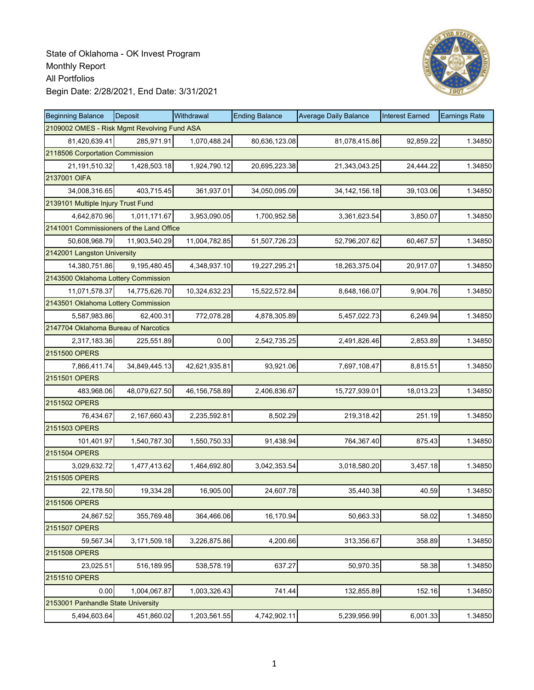

| <b>Beginning Balance</b>                    | <b>Deposit</b> | Withdrawal      | <b>Ending Balance</b> | <b>Average Daily Balance</b> | Interest Earned | <b>Earnings Rate</b> |
|---------------------------------------------|----------------|-----------------|-----------------------|------------------------------|-----------------|----------------------|
| 2109002 OMES - Risk Mgmt Revolving Fund ASA |                |                 |                       |                              |                 |                      |
| 81,420,639.41                               | 285,971.91     | 1,070,488.24    | 80,636,123.08         | 81,078,415.86                | 92,859.22       | 1.34850              |
| 2118506 Corportation Commission             |                |                 |                       |                              |                 |                      |
| 21,191,510.32                               | 1,428,503.18   | 1,924,790.12    | 20,695,223.38         | 21,343,043.25                | 24,444.22       | 1.34850              |
| 2137001 OIFA                                |                |                 |                       |                              |                 |                      |
| 34,008,316.65                               | 403,715.45     | 361,937.01      | 34,050,095.09         | 34, 142, 156. 18             | 39,103.06       | 1.34850              |
| 2139101 Multiple Injury Trust Fund          |                |                 |                       |                              |                 |                      |
| 4,642,870.96                                | 1,011,171.67   | 3,953,090.05    | 1,700,952.58          | 3,361,623.54                 | 3,850.07        | 1.34850              |
| 2141001 Commissioners of the Land Office    |                |                 |                       |                              |                 |                      |
| 50,608,968.79                               | 11,903,540.29  | 11,004,782.85   | 51,507,726.23         | 52,796,207.62                | 60,467.57       | 1.34850              |
| 2142001 Langston University                 |                |                 |                       |                              |                 |                      |
| 14,380,751.86                               | 9,195,480.45   | 4,348,937.10    | 19,227,295.21         | 18,263,375.04                | 20,917.07       | 1.34850              |
| 2143500 Oklahoma Lottery Commission         |                |                 |                       |                              |                 |                      |
| 11,071,578.37                               | 14,775,626.70  | 10,324,632.23   | 15,522,572.84         | 8,648,166.07                 | 9,904.76        | 1.34850              |
| 2143501 Oklahoma Lottery Commission         |                |                 |                       |                              |                 |                      |
| 5,587,983.86                                | 62,400.31      | 772,078.28      | 4,878,305.89          | 5,457,022.73                 | 6,249.94        | 1.34850              |
| 2147704 Oklahoma Bureau of Narcotics        |                |                 |                       |                              |                 |                      |
| 2,317,183.36                                | 225,551.89     | 0.00            | 2,542,735.25          | 2,491,826.46                 | 2,853.89        | 1.34850              |
| 2151500 OPERS                               |                |                 |                       |                              |                 |                      |
| 7,866,411.74                                | 34,849,445.13  | 42,621,935.81   | 93,921.06             | 7,697,108.47                 | 8,815.51        | 1.34850              |
| 2151501 OPERS                               |                |                 |                       |                              |                 |                      |
| 483,968.06                                  | 48,079,627.50  | 46, 156, 758.89 | 2,406,836.67          | 15,727,939.01                | 18,013.23       | 1.34850              |
| 2151502 OPERS                               |                |                 |                       |                              |                 |                      |
| 76,434.67                                   | 2,167,660.43   | 2,235,592.81    | 8,502.29              | 219,318.42                   | 251.19          | 1.34850              |
| 2151503 OPERS                               |                |                 |                       |                              |                 |                      |
| 101,401.97                                  | 1,540,787.30   | 1,550,750.33    | 91,438.94             | 764,367.40                   | 875.43          | 1.34850              |
| 2151504 OPERS                               |                |                 |                       |                              |                 |                      |
| 3,029,632.72                                | 1,477,413.62   | 1,464,692.80    | 3,042,353.54          | 3,018,580.20                 | 3,457.18        | 1.34850              |
| 2151505 OPERS                               |                |                 |                       |                              |                 |                      |
| 22,178.50                                   | 19,334.28      | 16,905.00       | 24,607.78             | 35,440.38                    | 40.59           | 1.34850              |
| 2151506 OPERS                               |                |                 |                       |                              |                 |                      |
| 24,867.52                                   | 355,769.48     | 364,466.06      | 16,170.94             | 50,663.33                    | 58.02           | 1.34850              |
| 2151507 OPERS                               |                |                 |                       |                              |                 |                      |
| 59,567.34                                   | 3,171,509.18   | 3,226,875.86    | 4,200.66              | 313,356.67                   | 358.89          | 1.34850              |
| 2151508 OPERS                               |                |                 |                       |                              |                 |                      |
| 23,025.51                                   | 516,189.95     | 538,578.19      | 637.27                | 50,970.35                    | 58.38           | 1.34850              |
| 2151510 OPERS                               |                |                 |                       |                              |                 |                      |
| 0.00                                        | 1,004,067.87   | 1,003,326.43    | 741.44                | 132,855.89                   | 152.16          | 1.34850              |
| 2153001 Panhandle State University          |                |                 |                       |                              |                 |                      |
| 5,494,603.64                                | 451,860.02     | 1,203,561.55    | 4,742,902.11          | 5,239,956.99                 | 6,001.33        | 1.34850              |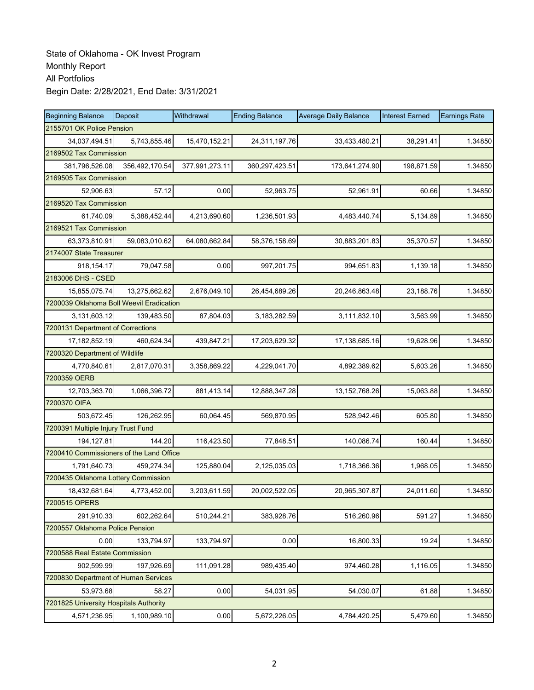| <b>Beginning Balance</b>                 | Deposit                   | Withdrawal     | <b>Ending Balance</b> | <b>Average Daily Balance</b> | <b>Interest Earned</b> | <b>Earnings Rate</b> |  |  |  |  |
|------------------------------------------|---------------------------|----------------|-----------------------|------------------------------|------------------------|----------------------|--|--|--|--|
|                                          | 2155701 OK Police Pension |                |                       |                              |                        |                      |  |  |  |  |
| 34,037,494.51                            | 5,743,855.46              | 15,470,152.21  | 24,311,197.76         | 33,433,480.21                | 38,291.41              | 1.34850              |  |  |  |  |
|                                          | 2169502 Tax Commission    |                |                       |                              |                        |                      |  |  |  |  |
| 381,796,526.08                           | 356,492,170.54            | 377,991,273.11 | 360,297,423.51        | 173,641,274.90               | 198,871.59             | 1.34850              |  |  |  |  |
| 2169505 Tax Commission                   |                           |                |                       |                              |                        |                      |  |  |  |  |
| 52,906.63                                | 57.12                     | 0.00           | 52,963.75             | 52,961.91                    | 60.66                  | 1.34850              |  |  |  |  |
| 2169520 Tax Commission                   |                           |                |                       |                              |                        |                      |  |  |  |  |
| 61,740.09                                | 5,388,452.44              | 4,213,690.60   | 1,236,501.93          | 4,483,440.74                 | 5,134.89               | 1.34850              |  |  |  |  |
| 2169521 Tax Commission                   |                           |                |                       |                              |                        |                      |  |  |  |  |
| 63,373,810.91                            | 59,083,010.62             | 64,080,662.84  | 58,376,158.69         | 30,883,201.83                | 35,370.57              | 1.34850              |  |  |  |  |
| 2174007 State Treasurer                  |                           |                |                       |                              |                        |                      |  |  |  |  |
| 918, 154. 17                             | 79,047.58                 | 0.00           | 997,201.75            | 994,651.83                   | 1,139.18               | 1.34850              |  |  |  |  |
| 2183006 DHS - CSED                       |                           |                |                       |                              |                        |                      |  |  |  |  |
| 15,855,075.74                            | 13,275,662.62             | 2,676,049.10   | 26,454,689.26         | 20,246,863.48                | 23,188.76              | 1.34850              |  |  |  |  |
| 7200039 Oklahoma Boll Weevil Eradication |                           |                |                       |                              |                        |                      |  |  |  |  |
| 3,131,603.12                             | 139,483.50                | 87,804.03      | 3,183,282.59          | 3,111,832.10                 | 3,563.99               | 1.34850              |  |  |  |  |
| 7200131 Department of Corrections        |                           |                |                       |                              |                        |                      |  |  |  |  |
| 17,182,852.19                            | 460,624.34                | 439,847.21     | 17,203,629.32         | 17,138,685.16                | 19,628.96              | 1.34850              |  |  |  |  |
| 7200320 Department of Wildlife           |                           |                |                       |                              |                        |                      |  |  |  |  |
| 4,770,840.61                             | 2,817,070.31              | 3,358,869.22   | 4,229,041.70          | 4,892,389.62                 | 5,603.26               | 1.34850              |  |  |  |  |
| 7200359 OERB                             |                           |                |                       |                              |                        |                      |  |  |  |  |
| 12,703,363.70                            | 1,066,396.72              | 881,413.14     | 12,888,347.28         | 13, 152, 768. 26             | 15,063.88              | 1.34850              |  |  |  |  |
| 7200370 OIFA                             |                           |                |                       |                              |                        |                      |  |  |  |  |
| 503,672.45                               | 126,262.95                | 60,064.45      | 569,870.95            | 528,942.46                   | 605.80                 | 1.34850              |  |  |  |  |
| 7200391 Multiple Injury Trust Fund       |                           |                |                       |                              |                        |                      |  |  |  |  |
| 194, 127.81                              | 144.20                    | 116,423.50     | 77,848.51             | 140,086.74                   | 160.44                 | 1.34850              |  |  |  |  |
| 7200410 Commissioners of the Land Office |                           |                |                       |                              |                        |                      |  |  |  |  |
| 1,791,640.73                             | 459,274.34                | 125,880.04     | 2,125,035.03          | 1,718,366.36                 | 1,968.05               | 1.34850              |  |  |  |  |
| 7200435 Oklahoma Lottery Commission      |                           |                |                       |                              |                        |                      |  |  |  |  |
| 18,432,681.64                            | 4,773,452.00              | 3,203,611.59   | 20,002,522.05         | 20,965,307.87                | 24,011.60              | 1.34850              |  |  |  |  |
| 7200515 OPERS                            |                           |                |                       |                              |                        |                      |  |  |  |  |
| 291,910.33                               | 602,262.64                | 510,244.21     | 383,928.76            | 516,260.96                   | 591.27                 | 1.34850              |  |  |  |  |
| 7200557 Oklahoma Police Pension          |                           |                |                       |                              |                        |                      |  |  |  |  |
| 0.00                                     | 133,794.97                | 133,794.97     | 0.00                  | 16,800.33                    | 19.24                  | 1.34850              |  |  |  |  |
| 7200588 Real Estate Commission           |                           |                |                       |                              |                        |                      |  |  |  |  |
| 902,599.99                               | 197,926.69                | 111,091.28     | 989,435.40            | 974,460.28                   | 1,116.05               | 1.34850              |  |  |  |  |
| 7200830 Department of Human Services     |                           |                |                       |                              |                        |                      |  |  |  |  |
| 53,973.68                                | 58.27                     | 0.00           | 54,031.95             | 54,030.07                    | 61.88                  | 1.34850              |  |  |  |  |
| 7201825 University Hospitals Authority   |                           |                |                       |                              |                        |                      |  |  |  |  |
| 4,571,236.95                             | 1,100,989.10              | 0.00           | 5,672,226.05          | 4,784,420.25                 | 5,479.60               | 1.34850              |  |  |  |  |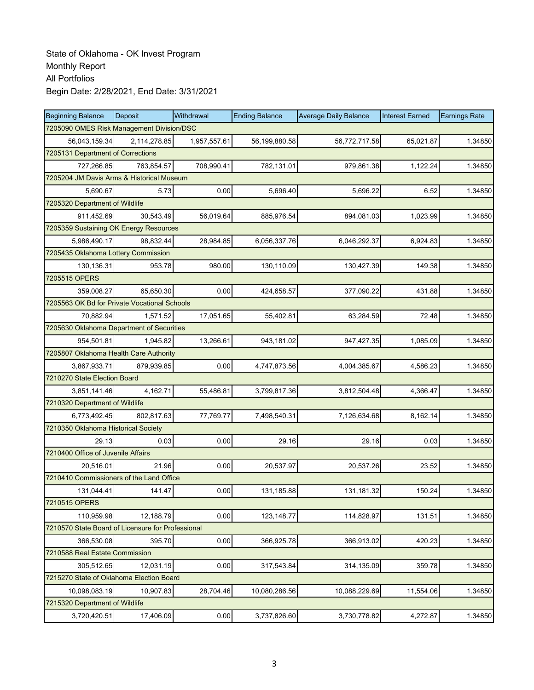| <b>Beginning Balance</b>                          | <b>Deposit</b> | Withdrawal   | <b>Ending Balance</b> | <b>Average Daily Balance</b> | <b>Interest Earned</b> | <b>Earnings Rate</b> |
|---------------------------------------------------|----------------|--------------|-----------------------|------------------------------|------------------------|----------------------|
| 7205090 OMES Risk Management Division/DSC         |                |              |                       |                              |                        |                      |
| 56,043,159.34                                     | 2,114,278.85   | 1,957,557.61 | 56,199,880.58         | 56,772,717.58                | 65,021.87              | 1.34850              |
| 7205131 Department of Corrections                 |                |              |                       |                              |                        |                      |
| 727,266.85                                        | 763,854.57     | 708,990.41   | 782,131.01            | 979,861.38                   | 1,122.24               | 1.34850              |
| 7205204 JM Davis Arms & Historical Museum         |                |              |                       |                              |                        |                      |
| 5.690.67                                          | 5.73           | 0.00         | 5,696.40              | 5,696.22                     | 6.52                   | 1.34850              |
| 7205320 Department of Wildlife                    |                |              |                       |                              |                        |                      |
| 911,452.69                                        | 30,543.49      | 56,019.64    | 885,976.54            | 894,081.03                   | 1,023.99               | 1.34850              |
| 7205359 Sustaining OK Energy Resources            |                |              |                       |                              |                        |                      |
| 5,986,490.17                                      | 98,832.44      | 28,984.85    | 6,056,337.76          | 6,046,292.37                 | 6,924.83               | 1.34850              |
| 7205435 Oklahoma Lottery Commission               |                |              |                       |                              |                        |                      |
| 130,136.31                                        | 953.78         | 980.00       | 130,110.09            | 130,427.39                   | 149.38                 | 1.34850              |
| 7205515 OPERS                                     |                |              |                       |                              |                        |                      |
| 359,008.27                                        | 65,650.30      | 0.00         | 424,658.57            | 377,090.22                   | 431.88                 | 1.34850              |
| 7205563 OK Bd for Private Vocational Schools      |                |              |                       |                              |                        |                      |
| 70,882.94                                         | 1,571.52       | 17,051.65    | 55,402.81             | 63,284.59                    | 72.48                  | 1.34850              |
| 7205630 Oklahoma Department of Securities         |                |              |                       |                              |                        |                      |
| 954,501.81                                        | 1,945.82       | 13,266.61    | 943,181.02            | 947,427.35                   | 1,085.09               | 1.34850              |
| 7205807 Oklahoma Health Care Authority            |                |              |                       |                              |                        |                      |
| 3,867,933.71                                      | 879,939.85     | 0.00         | 4,747,873.56          | 4,004,385.67                 | 4,586.23               | 1.34850              |
| 7210270 State Election Board                      |                |              |                       |                              |                        |                      |
| 3,851,141.46                                      | 4,162.71       | 55,486.81    | 3,799,817.36          | 3,812,504.48                 | 4,366.47               | 1.34850              |
| 7210320 Department of Wildlife                    |                |              |                       |                              |                        |                      |
| 6,773,492.45                                      | 802,817.63     | 77,769.77    | 7,498,540.31          | 7,126,634.68                 | 8,162.14               | 1.34850              |
| 7210350 Oklahoma Historical Society               |                |              |                       |                              |                        |                      |
| 29.13                                             | 0.03           | 0.00         | 29.16                 | 29.16                        | 0.03                   | 1.34850              |
| 7210400 Office of Juvenile Affairs                |                |              |                       |                              |                        |                      |
| 20,516.01                                         | 21.96          | 0.00         | 20,537.97             | 20,537.26                    | 23.52                  | 1.34850              |
| 7210410 Commissioners of the Land Office          |                |              |                       |                              |                        |                      |
| 131,044.41                                        | 141.47         | 0.00         | 131,185.88            | 131,181.32                   | 150.24                 | 1.34850              |
| 7210515 OPERS                                     |                |              |                       |                              |                        |                      |
| 110,959.98                                        | 12,188.79      | 0.00         | 123, 148.77           | 114,828.97                   | 131.51                 | 1.34850              |
| 7210570 State Board of Licensure for Professional |                |              |                       |                              |                        |                      |
| 366,530.08                                        | 395.70         | 0.00         | 366,925.78            | 366,913.02                   | 420.23                 | 1.34850              |
| 7210588 Real Estate Commission                    |                |              |                       |                              |                        |                      |
| 305,512.65                                        | 12,031.19      | 0.00         | 317,543.84            | 314,135.09                   | 359.78                 | 1.34850              |
| 7215270 State of Oklahoma Election Board          |                |              |                       |                              |                        |                      |
| 10,098,083.19                                     | 10,907.83      | 28,704.46    | 10,080,286.56         | 10,088,229.69                | 11,554.06              | 1.34850              |
| 7215320 Department of Wildlife                    |                |              |                       |                              |                        |                      |
| 3,720,420.51                                      | 17,406.09      | 0.00         | 3,737,826.60          | 3,730,778.82                 | 4,272.87               | 1.34850              |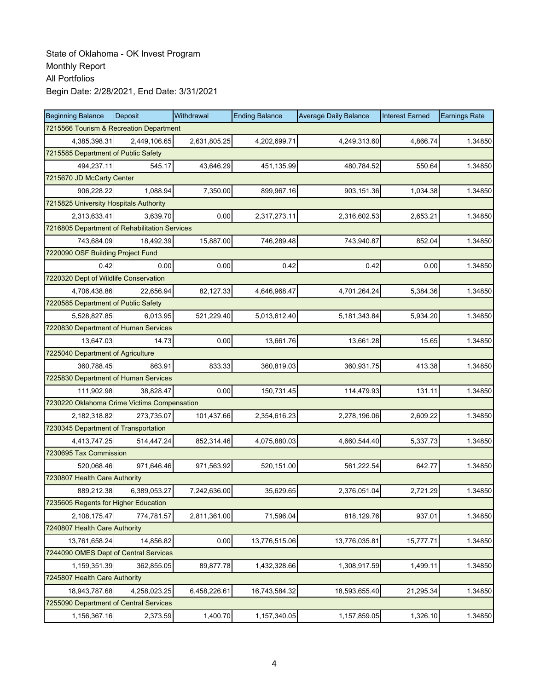| <b>Beginning Balance</b>                      | <b>Deposit</b> | Withdrawal   | <b>Ending Balance</b> | <b>Average Daily Balance</b> | <b>Interest Earned</b> | <b>Earnings Rate</b> |
|-----------------------------------------------|----------------|--------------|-----------------------|------------------------------|------------------------|----------------------|
| 7215566 Tourism & Recreation Department       |                |              |                       |                              |                        |                      |
| 4,385,398.31                                  | 2,449,106.65   | 2,631,805.25 | 4,202,699.71          | 4,249,313.60                 | 4,866.74               | 1.34850              |
| 7215585 Department of Public Safety           |                |              |                       |                              |                        |                      |
| 494,237.11                                    | 545.17         | 43,646.29    | 451,135.99            | 480,784.52                   | 550.64                 | 1.34850              |
| 7215670 JD McCarty Center                     |                |              |                       |                              |                        |                      |
| 906,228.22                                    | 1,088.94       | 7,350.00     | 899,967.16            | 903,151.36                   | 1,034.38               | 1.34850              |
| 7215825 University Hospitals Authority        |                |              |                       |                              |                        |                      |
| 2,313,633.41                                  | 3,639.70       | 0.00         | 2,317,273.11          | 2,316,602.53                 | 2,653.21               | 1.34850              |
| 7216805 Department of Rehabilitation Services |                |              |                       |                              |                        |                      |
| 743,684.09                                    | 18,492.39      | 15,887.00    | 746,289.48            | 743,940.87                   | 852.04                 | 1.34850              |
| 7220090 OSF Building Project Fund             |                |              |                       |                              |                        |                      |
| 0.42                                          | 0.00           | 0.00         | 0.42                  | 0.42                         | 0.00                   | 1.34850              |
| 7220320 Dept of Wildlife Conservation         |                |              |                       |                              |                        |                      |
| 4,706,438.86                                  | 22.656.94      | 82,127.33    | 4,646,968.47          | 4,701,264.24                 | 5,384.36               | 1.34850              |
| 7220585 Department of Public Safety           |                |              |                       |                              |                        |                      |
| 5,528,827.85                                  | 6,013.95       | 521,229.40   | 5,013,612.40          | 5, 181, 343.84               | 5,934.20               | 1.34850              |
| 7220830 Department of Human Services          |                |              |                       |                              |                        |                      |
| 13,647.03                                     | 14.73          | 0.00         | 13,661.76             | 13,661.28                    | 15.65                  | 1.34850              |
| 7225040 Department of Agriculture             |                |              |                       |                              |                        |                      |
| 360,788.45                                    | 863.91         | 833.33       | 360,819.03            | 360,931.75                   | 413.38                 | 1.34850              |
| 7225830 Department of Human Services          |                |              |                       |                              |                        |                      |
| 111,902.98                                    | 38,828.47      | 0.00         | 150,731.45            | 114,479.93                   | 131.11                 | 1.34850              |
| 7230220 Oklahoma Crime Victims Compensation   |                |              |                       |                              |                        |                      |
| 2,182,318.82                                  | 273,735.07     | 101,437.66   | 2,354,616.23          | 2,278,196.06                 | 2,609.22               | 1.34850              |
| 7230345 Department of Transportation          |                |              |                       |                              |                        |                      |
| 4,413,747.25                                  | 514,447.24     | 852,314.46   | 4,075,880.03          | 4,660,544.40                 | 5,337.73               | 1.34850              |
| 7230695 Tax Commission                        |                |              |                       |                              |                        |                      |
| 520,068.46                                    | 971,646.46     | 971,563.92   | 520,151.00            | 561,222.54                   | 642.77                 | 1.34850              |
| 7230807 Health Care Authority                 |                |              |                       |                              |                        |                      |
| 889,212.38                                    | 6,389,053.27   | 7,242,636.00 | 35,629.65             | 2,376,051.04                 | 2,721.29               | 1.34850              |
| 7235605 Regents for Higher Education          |                |              |                       |                              |                        |                      |
| 2,108,175.47                                  | 774,781.57     | 2,811,361.00 | 71,596.04             | 818,129.76                   | 937.01                 | 1.34850              |
| 7240807 Health Care Authority                 |                |              |                       |                              |                        |                      |
| 13,761,658.24                                 | 14,856.82      | 0.00         | 13,776,515.06         | 13,776,035.81                | 15,777.71              | 1.34850              |
| 7244090 OMES Dept of Central Services         |                |              |                       |                              |                        |                      |
| 1,159,351.39                                  | 362,855.05     | 89,877.78    | 1,432,328.66          | 1,308,917.59                 | 1,499.11               | 1.34850              |
| 7245807 Health Care Authority                 |                |              |                       |                              |                        |                      |
| 18,943,787.68                                 | 4,258,023.25   | 6,458,226.61 | 16,743,584.32         | 18,593,655.40                | 21,295.34              | 1.34850              |
| 7255090 Department of Central Services        |                |              |                       |                              |                        |                      |
| 1,156,367.16                                  | 2,373.59       | 1,400.70     | 1,157,340.05          | 1,157,859.05                 | 1,326.10               | 1.34850              |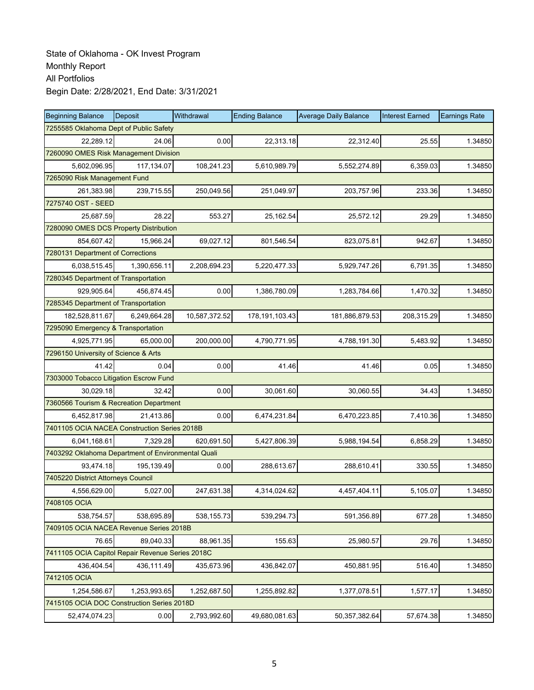| <b>Beginning Balance</b>                           | Deposit                      | Withdrawal    | <b>Ending Balance</b> | <b>Average Daily Balance</b> | <b>Interest Earned</b> | <b>Earnings Rate</b> |  |  |  |  |
|----------------------------------------------------|------------------------------|---------------|-----------------------|------------------------------|------------------------|----------------------|--|--|--|--|
| 7255585 Oklahoma Dept of Public Safety             |                              |               |                       |                              |                        |                      |  |  |  |  |
| 22,289.12                                          | 24.06                        | 0.00          | 22,313.18             | 22,312.40                    | 25.55                  | 1.34850              |  |  |  |  |
| 7260090 OMES Risk Management Division              |                              |               |                       |                              |                        |                      |  |  |  |  |
| 5,602,096.95                                       | 117,134.07                   | 108,241.23    | 5,610,989.79          | 5,552,274.89                 | 6,359.03               | 1.34850              |  |  |  |  |
|                                                    | 7265090 Risk Management Fund |               |                       |                              |                        |                      |  |  |  |  |
| 261,383.98                                         | 239,715.55                   | 250,049.56    | 251,049.97            | 203,757.96                   | 233.36                 | 1.34850              |  |  |  |  |
| 7275740 OST - SEED                                 |                              |               |                       |                              |                        |                      |  |  |  |  |
| 25,687.59                                          | 28.22                        | 553.27        | 25,162.54             | 25,572.12                    | 29.29                  | 1.34850              |  |  |  |  |
| 7280090 OMES DCS Property Distribution             |                              |               |                       |                              |                        |                      |  |  |  |  |
| 854,607.42                                         | 15,966.24                    | 69,027.12     | 801,546.54            | 823,075.81                   | 942.67                 | 1.34850              |  |  |  |  |
| 7280131 Department of Corrections                  |                              |               |                       |                              |                        |                      |  |  |  |  |
| 6,038,515.45                                       | 1,390,656.11                 | 2,208,694.23  | 5,220,477.33          | 5,929,747.26                 | 6,791.35               | 1.34850              |  |  |  |  |
| 7280345 Department of Transportation               |                              |               |                       |                              |                        |                      |  |  |  |  |
| 929.905.64                                         | 456,874.45                   | 0.00          | 1,386,780.09          | 1,283,784.66                 | 1,470.32               | 1.34850              |  |  |  |  |
| 7285345 Department of Transportation               |                              |               |                       |                              |                        |                      |  |  |  |  |
| 182,528,811.67                                     | 6,249,664.28                 | 10,587,372.52 | 178,191,103.43        | 181,886,879.53               | 208,315.29             | 1.34850              |  |  |  |  |
| 7295090 Emergency & Transportation                 |                              |               |                       |                              |                        |                      |  |  |  |  |
| 4,925,771.95                                       | 65,000.00                    | 200,000.00    | 4,790,771.95          | 4,788,191.30                 | 5,483.92               | 1.34850              |  |  |  |  |
| 7296150 University of Science & Arts               |                              |               |                       |                              |                        |                      |  |  |  |  |
| 41.42                                              | 0.04                         | 0.00          | 41.46                 | 41.46                        | 0.05                   | 1.34850              |  |  |  |  |
| 7303000 Tobacco Litigation Escrow Fund             |                              |               |                       |                              |                        |                      |  |  |  |  |
| 30,029.18                                          | 32.42                        | 0.00          | 30,061.60             | 30,060.55                    | 34.43                  | 1.34850              |  |  |  |  |
| 7360566 Tourism & Recreation Department            |                              |               |                       |                              |                        |                      |  |  |  |  |
| 6,452,817.98                                       | 21,413.86                    | 0.00          | 6,474,231.84          | 6,470,223.85                 | 7,410.36               | 1.34850              |  |  |  |  |
| 7401105 OCIA NACEA Construction Series 2018B       |                              |               |                       |                              |                        |                      |  |  |  |  |
| 6,041,168.61                                       | 7,329.28                     | 620,691.50    | 5,427,806.39          | 5,988,194.54                 | 6,858.29               | 1.34850              |  |  |  |  |
| 7403292 Oklahoma Department of Environmental Quali |                              |               |                       |                              |                        |                      |  |  |  |  |
| 93.474.18                                          | 195,139.49                   | 0.00          | 288,613.67            | 288,610.41                   | 330.55                 | 1.34850              |  |  |  |  |
| 7405220 District Attorneys Council                 |                              |               |                       |                              |                        |                      |  |  |  |  |
| 4,556,629.00                                       | 5,027.00                     | 247,631.38    | 4,314,024.62          | 4,457,404.11                 | 5,105.07               | 1.34850              |  |  |  |  |
| 7408105 OCIA                                       |                              |               |                       |                              |                        |                      |  |  |  |  |
| 538,754.57                                         | 538,695.89                   | 538,155.73    | 539,294.73            | 591,356.89                   | 677.28                 | 1.34850              |  |  |  |  |
| 7409105 OCIA NACEA Revenue Series 2018B            |                              |               |                       |                              |                        |                      |  |  |  |  |
| 76.65                                              | 89,040.33                    | 88,961.35     | 155.63                | 25,980.57                    | 29.76                  | 1.34850              |  |  |  |  |
| 7411105 OCIA Capitol Repair Revenue Series 2018C   |                              |               |                       |                              |                        |                      |  |  |  |  |
| 436,404.54                                         | 436,111.49                   | 435,673.96    | 436,842.07            | 450,881.95                   | 516.40                 | 1.34850              |  |  |  |  |
| 7412105 OCIA                                       |                              |               |                       |                              |                        |                      |  |  |  |  |
| 1,254,586.67                                       | 1,253,993.65                 | 1,252,687.50  | 1,255,892.82          | 1,377,078.51                 | 1,577.17               | 1.34850              |  |  |  |  |
| 7415105 OCIA DOC Construction Series 2018D         |                              |               |                       |                              |                        |                      |  |  |  |  |
| 52,474,074.23                                      | 0.00                         | 2,793,992.60  | 49,680,081.63         | 50,357,382.64                | 57,674.38              | 1.34850              |  |  |  |  |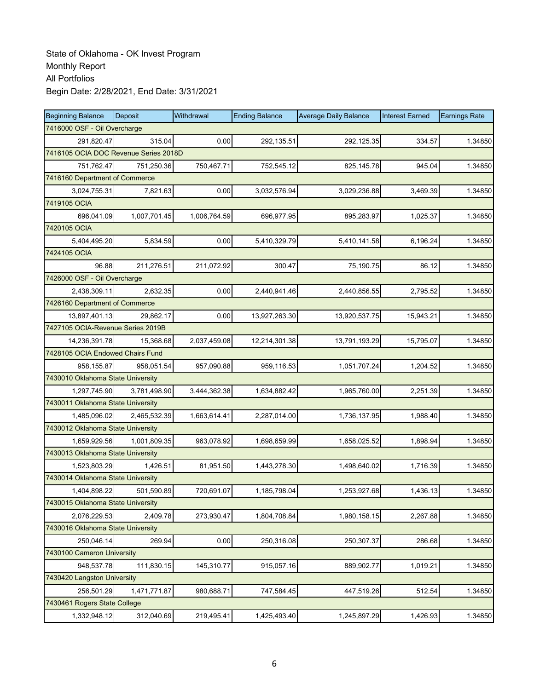| <b>Beginning Balance</b>              | <b>Deposit</b>                 | Withdrawal   | <b>Ending Balance</b> | <b>Average Daily Balance</b> | <b>Interest Earned</b> | <b>Earnings Rate</b> |  |  |  |  |
|---------------------------------------|--------------------------------|--------------|-----------------------|------------------------------|------------------------|----------------------|--|--|--|--|
|                                       | 7416000 OSF - Oil Overcharge   |              |                       |                              |                        |                      |  |  |  |  |
| 291,820.47                            | 315.04                         | 0.00         | 292,135.51            | 292,125.35                   | 334.57                 | 1.34850              |  |  |  |  |
| 7416105 OCIA DOC Revenue Series 2018D |                                |              |                       |                              |                        |                      |  |  |  |  |
| 751,762.47                            | 751,250.36                     | 750,467.71   | 752,545.12            | 825, 145.78                  | 945.04                 | 1.34850              |  |  |  |  |
|                                       | 7416160 Department of Commerce |              |                       |                              |                        |                      |  |  |  |  |
| 3,024,755.31                          | 7,821.63                       | 0.00         | 3,032,576.94          | 3,029,236.88                 | 3,469.39               | 1.34850              |  |  |  |  |
| 7419105 OCIA                          |                                |              |                       |                              |                        |                      |  |  |  |  |
| 696,041.09                            | 1,007,701.45                   | 1,006,764.59 | 696,977.95            | 895,283.97                   | 1,025.37               | 1.34850              |  |  |  |  |
| 7420105 OCIA                          |                                |              |                       |                              |                        |                      |  |  |  |  |
| 5,404,495.20                          | 5,834.59                       | 0.00         | 5,410,329.79          | 5,410,141.58                 | 6,196.24               | 1.34850              |  |  |  |  |
| 7424105 OCIA                          |                                |              |                       |                              |                        |                      |  |  |  |  |
| 96.88                                 | 211,276.51                     | 211,072.92   | 300.47                | 75,190.75                    | 86.12                  | 1.34850              |  |  |  |  |
| 7426000 OSF - Oil Overcharge          |                                |              |                       |                              |                        |                      |  |  |  |  |
| 2,438,309.11                          | 2,632.35                       | 0.00         | 2,440,941.46          | 2,440,856.55                 | 2,795.52               | 1.34850              |  |  |  |  |
| 7426160 Department of Commerce        |                                |              |                       |                              |                        |                      |  |  |  |  |
| 13,897,401.13                         | 29,862.17                      | 0.00         | 13,927,263.30         | 13,920,537.75                | 15,943.21              | 1.34850              |  |  |  |  |
| 7427105 OCIA-Revenue Series 2019B     |                                |              |                       |                              |                        |                      |  |  |  |  |
| 14,236,391.78                         | 15,368.68                      | 2,037,459.08 | 12,214,301.38         | 13,791,193.29                | 15,795.07              | 1.34850              |  |  |  |  |
| 7428105 OCIA Endowed Chairs Fund      |                                |              |                       |                              |                        |                      |  |  |  |  |
| 958,155.87                            | 958,051.54                     | 957,090.88   | 959,116.53            | 1,051,707.24                 | 1,204.52               | 1.34850              |  |  |  |  |
| 7430010 Oklahoma State University     |                                |              |                       |                              |                        |                      |  |  |  |  |
| 1,297,745.90                          | 3,781,498.90                   | 3,444,362.38 | 1,634,882.42          | 1,965,760.00                 | 2,251.39               | 1.34850              |  |  |  |  |
| 7430011 Oklahoma State University     |                                |              |                       |                              |                        |                      |  |  |  |  |
| 1,485,096.02                          | 2,465,532.39                   | 1,663,614.41 | 2,287,014.00          | 1,736,137.95                 | 1,988.40               | 1.34850              |  |  |  |  |
| 7430012 Oklahoma State University     |                                |              |                       |                              |                        |                      |  |  |  |  |
| 1,659,929.56                          | 1,001,809.35                   | 963,078.92   | 1,698,659.99          | 1,658,025.52                 | 1,898.94               | 1.34850              |  |  |  |  |
| 7430013 Oklahoma State University     |                                |              |                       |                              |                        |                      |  |  |  |  |
| 1,523,803.29                          | 1,426.51                       | 81,951.50    | 1,443,278.30          | 1,498,640.02                 | 1,716.39               | 1.34850              |  |  |  |  |
| 7430014 Oklahoma State University     |                                |              |                       |                              |                        |                      |  |  |  |  |
| 1,404,898.22                          | 501,590.89                     | 720,691.07   | 1,185,798.04          | 1,253,927.68                 | 1,436.13               | 1.34850              |  |  |  |  |
| 7430015 Oklahoma State University     |                                |              |                       |                              |                        |                      |  |  |  |  |
| 2,076,229.53                          | 2,409.78                       | 273,930.47   | 1,804,708.84          | 1,980,158.15                 | 2,267.88               | 1.34850              |  |  |  |  |
| 7430016 Oklahoma State University     |                                |              |                       |                              |                        |                      |  |  |  |  |
| 250,046.14                            | 269.94                         | 0.00         | 250,316.08            | 250,307.37                   | 286.68                 | 1.34850              |  |  |  |  |
| 7430100 Cameron University            |                                |              |                       |                              |                        |                      |  |  |  |  |
| 948,537.78                            | 111,830.15                     | 145,310.77   | 915,057.16            | 889,902.77                   | 1,019.21               | 1.34850              |  |  |  |  |
| 7430420 Langston University           |                                |              |                       |                              |                        |                      |  |  |  |  |
| 256,501.29                            | 1,471,771.87                   | 980,688.71   | 747,584.45            | 447,519.26                   | 512.54                 | 1.34850              |  |  |  |  |
| 7430461 Rogers State College          |                                |              |                       |                              |                        |                      |  |  |  |  |
| 1,332,948.12                          | 312,040.69                     | 219,495.41   | 1,425,493.40          | 1,245,897.29                 | 1,426.93               | 1.34850              |  |  |  |  |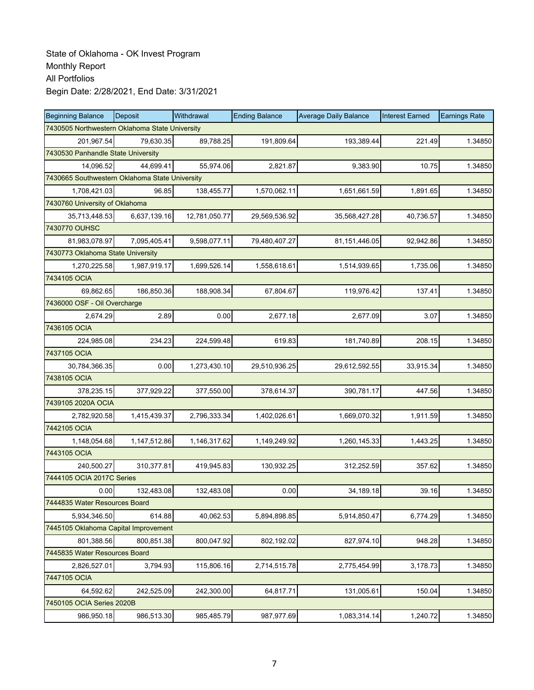| <b>Beginning Balance</b>                       | Deposit      | Withdrawal    | <b>Ending Balance</b> | <b>Average Daily Balance</b> | <b>Interest Earned</b> | <b>Earnings Rate</b> |  |  |  |
|------------------------------------------------|--------------|---------------|-----------------------|------------------------------|------------------------|----------------------|--|--|--|
| 7430505 Northwestern Oklahoma State University |              |               |                       |                              |                        |                      |  |  |  |
| 201,967.54                                     | 79,630.35    | 89,788.25     | 191,809.64            | 193,389.44                   | 221.49                 | 1.34850              |  |  |  |
| 7430530 Panhandle State University             |              |               |                       |                              |                        |                      |  |  |  |
| 14,096.52                                      | 44,699.41    | 55,974.06     | 2,821.87              | 9,383.90                     | 10.75                  | 1.34850              |  |  |  |
| 7430665 Southwestern Oklahoma State University |              |               |                       |                              |                        |                      |  |  |  |
| 1,708,421.03                                   | 96.85        | 138,455.77    | 1,570,062.11          | 1,651,661.59                 | 1,891.65               | 1.34850              |  |  |  |
| 7430760 University of Oklahoma                 |              |               |                       |                              |                        |                      |  |  |  |
| 35,713,448.53                                  | 6,637,139.16 | 12,781,050.77 | 29,569,536.92         | 35,568,427.28                | 40,736.57              | 1.34850              |  |  |  |
| 7430770 OUHSC                                  |              |               |                       |                              |                        |                      |  |  |  |
| 81,983,078.97                                  | 7,095,405.41 | 9,598,077.11  | 79,480,407.27         | 81,151,446.05                | 92,942.86              | 1.34850              |  |  |  |
| 7430773 Oklahoma State University              |              |               |                       |                              |                        |                      |  |  |  |
| 1,270,225.58                                   | 1,987,919.17 | 1,699,526.14  | 1,558,618.61          | 1,514,939.65                 | 1,735.06               | 1.34850              |  |  |  |
| 7434105 OCIA                                   |              |               |                       |                              |                        |                      |  |  |  |
| 69,862.65                                      | 186,850.36   | 188,908.34    | 67,804.67             | 119,976.42                   | 137.41                 | 1.34850              |  |  |  |
| 7436000 OSF - Oil Overcharge                   |              |               |                       |                              |                        |                      |  |  |  |
| 2,674.29                                       | 2.89         | 0.00          | 2,677.18              | 2,677.09                     | 3.07                   | 1.34850              |  |  |  |
| 7436105 OCIA                                   |              |               |                       |                              |                        |                      |  |  |  |
| 224,985.08                                     | 234.23       | 224,599.48    | 619.83                | 181,740.89                   | 208.15                 | 1.34850              |  |  |  |
| 7437105 OCIA                                   |              |               |                       |                              |                        |                      |  |  |  |
| 30,784,366.35                                  | 0.00         | 1,273,430.10  | 29,510,936.25         | 29,612,592.55                | 33,915.34              | 1.34850              |  |  |  |
| 7438105 OCIA                                   |              |               |                       |                              |                        |                      |  |  |  |
| 378,235.15                                     | 377,929.22   | 377,550.00    | 378,614.37            | 390,781.17                   | 447.56                 | 1.34850              |  |  |  |
| 7439105 2020A OCIA                             |              |               |                       |                              |                        |                      |  |  |  |
| 2,782,920.58                                   | 1,415,439.37 | 2,796,333.34  | 1,402,026.61          | 1,669,070.32                 | 1,911.59               | 1.34850              |  |  |  |
| 7442105 OCIA                                   |              |               |                       |                              |                        |                      |  |  |  |
| 1,148,054.68                                   | 1,147,512.86 | 1,146,317.62  | 1,149,249.92          | 1,260,145.33                 | 1,443.25               | 1.34850              |  |  |  |
| 7443105 OCIA                                   |              |               |                       |                              |                        |                      |  |  |  |
| 240,500.27                                     | 310,377.81   | 419,945.83    | 130,932.25            | 312,252.59                   | 357.62                 | 1.34850              |  |  |  |
| 7444105 OCIA 2017C Series                      |              |               |                       |                              |                        |                      |  |  |  |
| 0.00                                           | 132,483.08   | 132,483.08    | 0.00                  | 34,189.18                    | 39.16                  | 1.34850              |  |  |  |
| 7444835 Water Resources Board                  |              |               |                       |                              |                        |                      |  |  |  |
| 5,934,346.50                                   | 614.88       | 40,062.53     | 5,894,898.85          | 5,914,850.47                 | 6,774.29               | 1.34850              |  |  |  |
| 7445105 Oklahoma Capital Improvement           |              |               |                       |                              |                        |                      |  |  |  |
| 801,388.56                                     | 800,851.38   | 800,047.92    | 802,192.02            | 827,974.10                   | 948.28                 | 1.34850              |  |  |  |
| 7445835 Water Resources Board                  |              |               |                       |                              |                        |                      |  |  |  |
| 2,826,527.01                                   | 3,794.93     | 115,806.16    | 2,714,515.78          | 2,775,454.99                 | 3,178.73               | 1.34850              |  |  |  |
| 7447105 OCIA                                   |              |               |                       |                              |                        |                      |  |  |  |
| 64,592.62                                      | 242,525.09   | 242,300.00    | 64,817.71             | 131,005.61                   | 150.04                 | 1.34850              |  |  |  |
| 7450105 OCIA Series 2020B                      |              |               |                       |                              |                        |                      |  |  |  |
| 986,950.18                                     | 986,513.30   | 985,485.79    | 987,977.69            | 1,083,314.14                 | 1,240.72               | 1.34850              |  |  |  |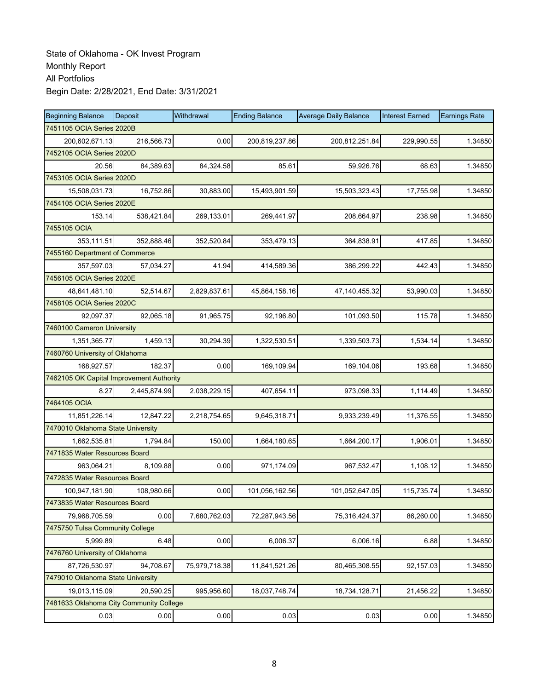| <b>Beginning Balance</b>                 | Deposit      | Withdrawal    | <b>Ending Balance</b> | <b>Average Daily Balance</b> | <b>Interest Earned</b> | <b>Earnings Rate</b> |  |  |
|------------------------------------------|--------------|---------------|-----------------------|------------------------------|------------------------|----------------------|--|--|
| 7451105 OCIA Series 2020B                |              |               |                       |                              |                        |                      |  |  |
| 200,602,671.13                           | 216,566.73   | 0.00          | 200,819,237.86        | 200,812,251.84               | 229,990.55             | 1.34850              |  |  |
| 7452105 OCIA Series 2020D                |              |               |                       |                              |                        |                      |  |  |
| 20.56                                    | 84,389.63    | 84,324.58     | 85.61                 | 59,926.76                    | 68.63                  | 1.34850              |  |  |
| 7453105 OCIA Series 2020D                |              |               |                       |                              |                        |                      |  |  |
| 15,508,031.73                            | 16,752.86    | 30,883.00     | 15,493,901.59         | 15,503,323.43                | 17,755.98              | 1.34850              |  |  |
| 7454105 OCIA Series 2020E                |              |               |                       |                              |                        |                      |  |  |
| 153.14                                   | 538,421.84   | 269,133.01    | 269,441.97            | 208,664.97                   | 238.98                 | 1.34850              |  |  |
| 7455105 OCIA                             |              |               |                       |                              |                        |                      |  |  |
| 353,111.51                               | 352,888.46   | 352,520.84    | 353,479.13            | 364,838.91                   | 417.85                 | 1.34850              |  |  |
| 7455160 Department of Commerce           |              |               |                       |                              |                        |                      |  |  |
| 357,597.03                               | 57,034.27    | 41.94         | 414,589.36            | 386,299.22                   | 442.43                 | 1.34850              |  |  |
| 7456105 OCIA Series 2020E                |              |               |                       |                              |                        |                      |  |  |
| 48,641,481.10                            | 52,514.67    | 2,829,837.61  | 45,864,158.16         | 47, 140, 455. 32             | 53,990.03              | 1.34850              |  |  |
| 7458105 OCIA Series 2020C                |              |               |                       |                              |                        |                      |  |  |
| 92,097.37                                | 92,065.18    | 91,965.75     | 92,196.80             | 101,093.50                   | 115.78                 | 1.34850              |  |  |
| 7460100 Cameron University               |              |               |                       |                              |                        |                      |  |  |
| 1,351,365.77                             | 1,459.13     | 30,294.39     | 1,322,530.51          | 1,339,503.73                 | 1,534.14               | 1.34850              |  |  |
| 7460760 University of Oklahoma           |              |               |                       |                              |                        |                      |  |  |
| 168,927.57                               | 182.37       | 0.00          | 169,109.94            | 169,104.06                   | 193.68                 | 1.34850              |  |  |
| 7462105 OK Capital Improvement Authority |              |               |                       |                              |                        |                      |  |  |
| 8.27                                     | 2,445,874.99 | 2,038,229.15  | 407,654.11            | 973,098.33                   | 1,114.49               | 1.34850              |  |  |
| 7464105 OCIA                             |              |               |                       |                              |                        |                      |  |  |
| 11,851,226.14                            | 12,847.22    | 2,218,754.65  | 9,645,318.71          | 9,933,239.49                 | 11,376.55              | 1.34850              |  |  |
| 7470010 Oklahoma State University        |              |               |                       |                              |                        |                      |  |  |
| 1,662,535.81                             | 1,794.84     | 150.00        | 1,664,180.65          | 1,664,200.17                 | 1,906.01               | 1.34850              |  |  |
| 7471835 Water Resources Board            |              |               |                       |                              |                        |                      |  |  |
| 963,064.21                               | 8,109.88     | 0.00          | 971,174.09            | 967,532.47                   | 1,108.12               | 1.34850              |  |  |
| 7472835 Water Resources Board            |              |               |                       |                              |                        |                      |  |  |
| 100,947,181.90                           | 108,980.66   | 0.00          | 101,056,162.56        | 101,052,647.05               | 115,735.74             | 1.34850              |  |  |
| 7473835 Water Resources Board            |              |               |                       |                              |                        |                      |  |  |
| 79,968,705.59                            | 0.00         | 7,680,762.03  | 72,287,943.56         | 75,316,424.37                | 86,260.00              | 1.34850              |  |  |
| 7475750 Tulsa Community College          |              |               |                       |                              |                        |                      |  |  |
| 5,999.89                                 | 6.48         | 0.00          | 6,006.37              | 6,006.16                     | 6.88                   | 1.34850              |  |  |
| 7476760 University of Oklahoma           |              |               |                       |                              |                        |                      |  |  |
| 87,726,530.97                            | 94,708.67    | 75,979,718.38 | 11,841,521.26         | 80,465,308.55                | 92,157.03              | 1.34850              |  |  |
| 7479010 Oklahoma State University        |              |               |                       |                              |                        |                      |  |  |
| 19,013,115.09                            | 20,590.25    | 995,956.60    | 18,037,748.74         | 18,734,128.71                | 21,456.22              | 1.34850              |  |  |
| 7481633 Oklahoma City Community College  |              |               |                       |                              |                        |                      |  |  |
| 0.03                                     | 0.00         | 0.00          | 0.03                  | 0.03                         | 0.00                   | 1.34850              |  |  |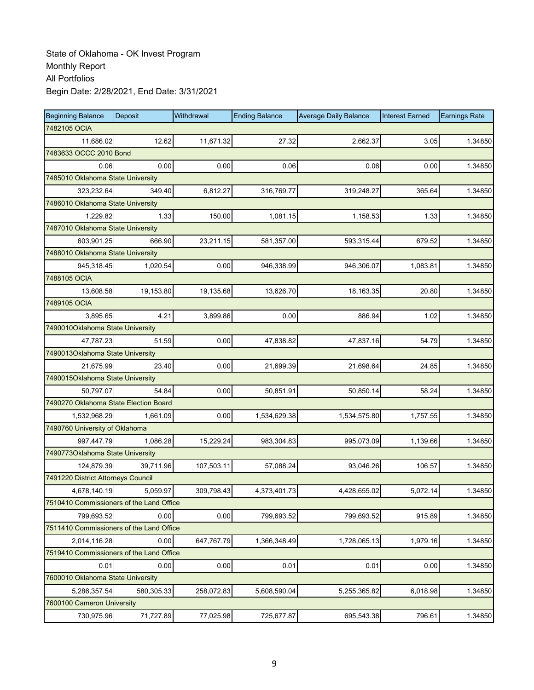| <b>Beginning Balance</b>                 | Deposit    | Withdrawal | <b>Ending Balance</b> | <b>Average Daily Balance</b> | <b>Interest Earned</b> | <b>Earnings Rate</b> |  |  |  |
|------------------------------------------|------------|------------|-----------------------|------------------------------|------------------------|----------------------|--|--|--|
| 7482105 OCIA                             |            |            |                       |                              |                        |                      |  |  |  |
| 11,686.02                                | 12.62      | 11,671.32  | 27.32                 | 2,662.37                     | 3.05                   | 1.34850              |  |  |  |
| 7483633 OCCC 2010 Bond                   |            |            |                       |                              |                        |                      |  |  |  |
| 0.06                                     | 0.00       | 0.00       | 0.06                  | 0.06                         | 0.00                   | 1.34850              |  |  |  |
| 7485010 Oklahoma State University        |            |            |                       |                              |                        |                      |  |  |  |
| 323,232.64                               | 349.40     | 6,812.27   | 316,769.77            | 319,248.27                   | 365.64                 | 1.34850              |  |  |  |
| 7486010 Oklahoma State University        |            |            |                       |                              |                        |                      |  |  |  |
| 1,229.82                                 | 1.33       | 150.00     | 1,081.15              | 1,158.53                     | 1.33                   | 1.34850              |  |  |  |
| 7487010 Oklahoma State University        |            |            |                       |                              |                        |                      |  |  |  |
| 603,901.25                               | 666.90     | 23,211.15  | 581,357.00            | 593,315.44                   | 679.52                 | 1.34850              |  |  |  |
| 7488010 Oklahoma State University        |            |            |                       |                              |                        |                      |  |  |  |
| 945,318.45                               | 1,020.54   | 0.00       | 946,338.99            | 946,306.07                   | 1,083.81               | 1.34850              |  |  |  |
| 7488105 OCIA                             |            |            |                       |                              |                        |                      |  |  |  |
| 13,608.58                                | 19,153.80  | 19,135.68  | 13,626.70             | 18,163.35                    | 20.80                  | 1.34850              |  |  |  |
| 7489105 OCIA                             |            |            |                       |                              |                        |                      |  |  |  |
| 3,895.65                                 | 4.21       | 3,899.86   | 0.00                  | 886.94                       | 1.02                   | 1.34850              |  |  |  |
| 7490010Oklahoma State University         |            |            |                       |                              |                        |                      |  |  |  |
| 47,787.23                                | 51.59      | 0.00       | 47,838.82             | 47,837.16                    | 54.79                  | 1.34850              |  |  |  |
| 7490013Oklahoma State University         |            |            |                       |                              |                        |                      |  |  |  |
| 21,675.99                                | 23.40      | 0.00       | 21,699.39             | 21,698.64                    | 24.85                  | 1.34850              |  |  |  |
| 7490015Oklahoma State University         |            |            |                       |                              |                        |                      |  |  |  |
| 50,797.07                                | 54.84      | 0.00       | 50,851.91             | 50,850.14                    | 58.24                  | 1.34850              |  |  |  |
| 7490270 Oklahoma State Election Board    |            |            |                       |                              |                        |                      |  |  |  |
| 1,532,968.29                             | 1,661.09   | 0.00       | 1,534,629.38          | 1,534,575.80                 | 1,757.55               | 1.34850              |  |  |  |
| 7490760 University of Oklahoma           |            |            |                       |                              |                        |                      |  |  |  |
| 997,447.79                               | 1,086.28   | 15,229.24  | 983,304.83            | 995,073.09                   | 1,139.66               | 1.34850              |  |  |  |
| 7490773Oklahoma State University         |            |            |                       |                              |                        |                      |  |  |  |
| 124,879.39                               | 39,711.96  | 107,503.11 | 57,088.24             | 93,046.26                    | 106.57                 | 1.34850              |  |  |  |
| 7491220 District Attorneys Council       |            |            |                       |                              |                        |                      |  |  |  |
| 4,678,140.19                             | 5,059.97   | 309,798.43 | 4,373,401.73          | 4,428,655.02                 | 5,072.14               | 1.34850              |  |  |  |
| 7510410 Commissioners of the Land Office |            |            |                       |                              |                        |                      |  |  |  |
| 799,693.52                               | 0.00       | 0.00       | 799,693.52            | 799,693.52                   | 915.89                 | 1.34850              |  |  |  |
| 7511410 Commissioners of the Land Office |            |            |                       |                              |                        |                      |  |  |  |
| 2,014,116.28                             | 0.00       | 647,767.79 | 1,366,348.49          | 1,728,065.13                 | 1,979.16               | 1.34850              |  |  |  |
| 7519410 Commissioners of the Land Office |            |            |                       |                              |                        |                      |  |  |  |
| 0.01                                     | 0.00       | 0.00       | 0.01                  | 0.01                         | 0.00                   | 1.34850              |  |  |  |
| 7600010 Oklahoma State University        |            |            |                       |                              |                        |                      |  |  |  |
| 5,286,357.54                             | 580,305.33 | 258,072.83 | 5,608,590.04          | 5,255,365.82                 | 6,018.98               | 1.34850              |  |  |  |
| 7600100 Cameron University               |            |            |                       |                              |                        |                      |  |  |  |
| 730,975.96                               | 71,727.89  | 77,025.98  | 725,677.87            | 695,543.38                   | 796.61                 | 1.34850              |  |  |  |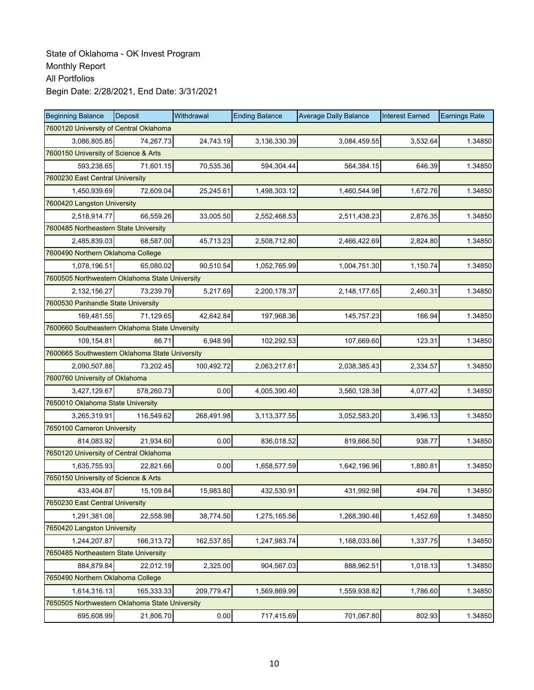| <b>Beginning Balance</b>                       | <b>Deposit</b>                         | Withdrawal | <b>Ending Balance</b> | <b>Average Daily Balance</b> | <b>Interest Earned</b> | <b>Earnings Rate</b> |  |  |  |
|------------------------------------------------|----------------------------------------|------------|-----------------------|------------------------------|------------------------|----------------------|--|--|--|
|                                                | 7600120 University of Central Oklahoma |            |                       |                              |                        |                      |  |  |  |
| 3,086,805.85                                   | 74,267.73                              | 24,743.19  | 3,136,330.39          | 3,084,459.55                 | 3,532.64               | 1.34850              |  |  |  |
| 7600150 University of Science & Arts           |                                        |            |                       |                              |                        |                      |  |  |  |
| 593,238.65                                     | 71,601.15                              | 70,535.36  | 594,304.44            | 564,384.15                   | 646.39                 | 1.34850              |  |  |  |
| 7600230 East Central University                |                                        |            |                       |                              |                        |                      |  |  |  |
| 1,450,939.69                                   | 72,609.04                              | 25,245.61  | 1,498,303.12          | 1,460,544.98                 | 1,672.76               | 1.34850              |  |  |  |
| 7600420 Langston University                    |                                        |            |                       |                              |                        |                      |  |  |  |
| 2,518,914.77                                   | 66,559.26                              | 33,005.50  | 2,552,468.53          | 2,511,438.23                 | 2,876.35               | 1.34850              |  |  |  |
| 7600485 Northeastern State University          |                                        |            |                       |                              |                        |                      |  |  |  |
| 2,485,839.03                                   | 68,587.00                              | 45,713.23  | 2,508,712.80          | 2,466,422.69                 | 2,824.80               | 1.34850              |  |  |  |
| 7600490 Northern Oklahoma College              |                                        |            |                       |                              |                        |                      |  |  |  |
| 1,078,196.51                                   | 65,080.02                              | 90,510.54  | 1,052,765.99          | 1,004,751.30                 | 1,150.74               | 1.34850              |  |  |  |
| 7600505 Northwestern Oklahoma State University |                                        |            |                       |                              |                        |                      |  |  |  |
| 2,132,156.27                                   | 73,239.79                              | 5,217.69   | 2,200,178.37          | 2,148,177.65                 | 2,460.31               | 1.34850              |  |  |  |
| 7600530 Panhandle State University             |                                        |            |                       |                              |                        |                      |  |  |  |
| 169,481.55                                     | 71,129.65                              | 42,642.84  | 197,968.36            | 145,757.23                   | 166.94                 | 1.34850              |  |  |  |
| 7600660 Southeastern Oklahoma State Unversity  |                                        |            |                       |                              |                        |                      |  |  |  |
| 109,154.81                                     | 86.71                                  | 6,948.99   | 102,292.53            | 107,669.60                   | 123.31                 | 1.34850              |  |  |  |
| 7600665 Southwestern Oklahoma State University |                                        |            |                       |                              |                        |                      |  |  |  |
| 2,090,507.88                                   | 73,202.45                              | 100,492.72 | 2,063,217.61          | 2,038,385.43                 | 2,334.57               | 1.34850              |  |  |  |
| 7600760 University of Oklahoma                 |                                        |            |                       |                              |                        |                      |  |  |  |
| 3,427,129.67                                   | 578,260.73                             | 0.00       | 4,005,390.40          | 3,560,128.38                 | 4,077.42               | 1.34850              |  |  |  |
| 7650010 Oklahoma State University              |                                        |            |                       |                              |                        |                      |  |  |  |
| 3,265,319.91                                   | 116,549.62                             | 268,491.98 | 3,113,377.55          | 3,052,583.20                 | 3,496.13               | 1.34850              |  |  |  |
| 7650100 Cameron University                     |                                        |            |                       |                              |                        |                      |  |  |  |
| 814,083.92                                     | 21,934.60                              | 0.00       | 836,018.52            | 819,666.50                   | 938.77                 | 1.34850              |  |  |  |
| 7650120 University of Central Oklahoma         |                                        |            |                       |                              |                        |                      |  |  |  |
| 1,635,755.93                                   | 22.821.66                              | 0.00       | 1,658,577.59          | 1,642,196.96                 | 1,880.81               | 1.34850              |  |  |  |
| 7650150 University of Science & Arts           |                                        |            |                       |                              |                        |                      |  |  |  |
| 433,404.87                                     | 15,109.84                              | 15,983.80  | 432,530.91            | 431,992.98                   | 494.76                 | 1.34850              |  |  |  |
| 7650230 East Central University                |                                        |            |                       |                              |                        |                      |  |  |  |
| 1,291,381.08                                   | 22,558.98                              | 38,774.50  | 1,275,165.56          | 1,268,390.46                 | 1,452.69               | 1.34850              |  |  |  |
| 7650420 Langston University                    |                                        |            |                       |                              |                        |                      |  |  |  |
| 1,244,207.87                                   | 166,313.72                             | 162,537.85 | 1,247,983.74          | 1,168,033.86                 | 1,337.75               | 1.34850              |  |  |  |
| 7650485 Northeastern State University          |                                        |            |                       |                              |                        |                      |  |  |  |
| 884,879.84                                     | 22,012.19                              | 2,325.00   | 904,567.03            | 888,962.51                   | 1,018.13               | 1.34850              |  |  |  |
| 7650490 Northern Oklahoma College              |                                        |            |                       |                              |                        |                      |  |  |  |
| 1,614,316.13                                   | 165,333.33                             | 209,779.47 | 1,569,869.99          | 1,559,938.82                 | 1,786.60               | 1.34850              |  |  |  |
| 7650505 Northwestern Oklahoma State University |                                        |            |                       |                              |                        |                      |  |  |  |
| 695,608.99                                     | 21,806.70                              | 0.00       | 717,415.69            | 701,067.80                   | 802.93                 | 1.34850              |  |  |  |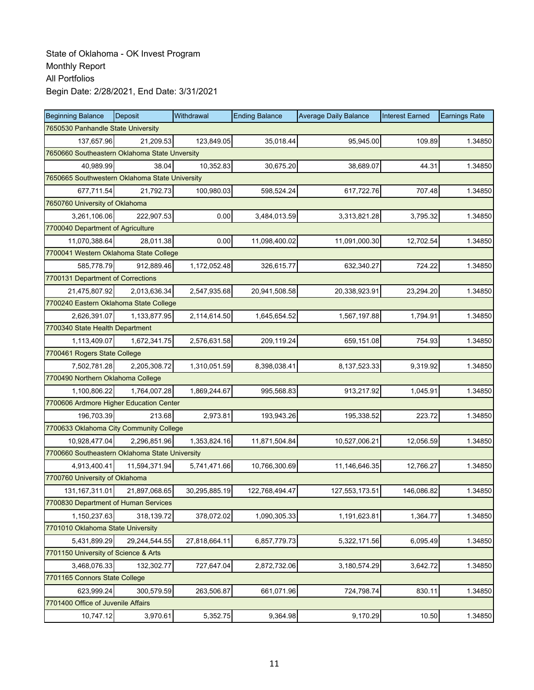| <b>Beginning Balance</b>                       | <b>Deposit</b> | Withdrawal    | <b>Ending Balance</b> | <b>Average Daily Balance</b> | <b>Interest Earned</b> | <b>Earnings Rate</b> |  |  |  |
|------------------------------------------------|----------------|---------------|-----------------------|------------------------------|------------------------|----------------------|--|--|--|
| 7650530 Panhandle State University             |                |               |                       |                              |                        |                      |  |  |  |
| 137,657.96                                     | 21,209.53      | 123,849.05    | 35,018.44             | 95,945.00                    | 109.89                 | 1.34850              |  |  |  |
| 7650660 Southeastern Oklahoma State Unversity  |                |               |                       |                              |                        |                      |  |  |  |
| 40,989.99                                      | 38.04          | 10,352.83     | 30,675.20             | 38,689.07                    | 44.31                  | 1.34850              |  |  |  |
| 7650665 Southwestern Oklahoma State University |                |               |                       |                              |                        |                      |  |  |  |
| 677,711.54                                     | 21,792.73      | 100,980.03    | 598,524.24            | 617,722.76                   | 707.48                 | 1.34850              |  |  |  |
| 7650760 University of Oklahoma                 |                |               |                       |                              |                        |                      |  |  |  |
| 3,261,106.06                                   | 222,907.53     | 0.00          | 3,484,013.59          | 3,313,821.28                 | 3,795.32               | 1.34850              |  |  |  |
| 7700040 Department of Agriculture              |                |               |                       |                              |                        |                      |  |  |  |
| 11,070,388.64                                  | 28,011.38      | 0.00          | 11,098,400.02         | 11,091,000.30                | 12,702.54              | 1.34850              |  |  |  |
| 7700041 Western Oklahoma State College         |                |               |                       |                              |                        |                      |  |  |  |
| 585,778.79                                     | 912,889.46     | 1,172,052.48  | 326,615.77            | 632,340.27                   | 724.22                 | 1.34850              |  |  |  |
| 7700131 Department of Corrections              |                |               |                       |                              |                        |                      |  |  |  |
| 21,475,807.92                                  | 2,013,636.34   | 2,547,935.68  | 20,941,508.58         | 20,338,923.91                | 23,294.20              | 1.34850              |  |  |  |
| 7700240 Eastern Oklahoma State College         |                |               |                       |                              |                        |                      |  |  |  |
| 2,626,391.07                                   | 1,133,877.95   | 2,114,614.50  | 1,645,654.52          | 1,567,197.88                 | 1,794.91               | 1.34850              |  |  |  |
| 7700340 State Health Department                |                |               |                       |                              |                        |                      |  |  |  |
| 1,113,409.07                                   | 1,672,341.75   | 2,576,631.58  | 209,119.24            | 659,151.08                   | 754.93                 | 1.34850              |  |  |  |
| 7700461 Rogers State College                   |                |               |                       |                              |                        |                      |  |  |  |
| 7,502,781.28                                   | 2,205,308.72   | 1,310,051.59  | 8,398,038.41          | 8,137,523.33                 | 9,319.92               | 1.34850              |  |  |  |
| 7700490 Northern Oklahoma College              |                |               |                       |                              |                        |                      |  |  |  |
| 1,100,806.22                                   | 1,764,007.28   | 1,869,244.67  | 995,568.83            | 913,217.92                   | 1,045.91               | 1.34850              |  |  |  |
| 7700606 Ardmore Higher Education Center        |                |               |                       |                              |                        |                      |  |  |  |
| 196,703.39                                     | 213.68         | 2,973.81      | 193,943.26            | 195,338.52                   | 223.72                 | 1.34850              |  |  |  |
| 7700633 Oklahoma City Community College        |                |               |                       |                              |                        |                      |  |  |  |
| 10,928,477.04                                  | 2,296,851.96   | 1,353,824.16  | 11,871,504.84         | 10,527,006.21                | 12,056.59              | 1.34850              |  |  |  |
| 7700660 Southeastern Oklahoma State University |                |               |                       |                              |                        |                      |  |  |  |
| 4,913,400.41                                   | 11,594,371.94  | 5,741,471.66  | 10,766,300.69         | 11,146,646.35                | 12,766.27              | 1.34850              |  |  |  |
| 7700760 University of Oklahoma                 |                |               |                       |                              |                        |                      |  |  |  |
| 131, 167, 311.01                               | 21,897,068.65  | 30,295,885.19 | 122,768,494.47        | 127,553,173.51               | 146,086.82             | 1.34850              |  |  |  |
| 7700830 Department of Human Services           |                |               |                       |                              |                        |                      |  |  |  |
| 1,150,237.63                                   | 318,139.72     | 378,072.02    | 1,090,305.33          | 1,191,623.81                 | 1,364.77               | 1.34850              |  |  |  |
| 7701010 Oklahoma State University              |                |               |                       |                              |                        |                      |  |  |  |
| 5,431,899.29                                   | 29,244,544.55  | 27,818,664.11 | 6,857,779.73          | 5,322,171.56                 | 6,095.49               | 1.34850              |  |  |  |
| 7701150 University of Science & Arts           |                |               |                       |                              |                        |                      |  |  |  |
| 3,468,076.33                                   | 132,302.77     | 727,647.04    | 2,872,732.06          | 3,180,574.29                 | 3,642.72               | 1.34850              |  |  |  |
| 7701165 Connors State College                  |                |               |                       |                              |                        |                      |  |  |  |
| 623,999.24                                     | 300,579.59     | 263,506.87    | 661,071.96            | 724,798.74                   | 830.11                 | 1.34850              |  |  |  |
| 7701400 Office of Juvenile Affairs             |                |               |                       |                              |                        |                      |  |  |  |
| 10,747.12                                      | 3,970.61       | 5,352.75      | 9,364.98              | 9,170.29                     | 10.50                  | 1.34850              |  |  |  |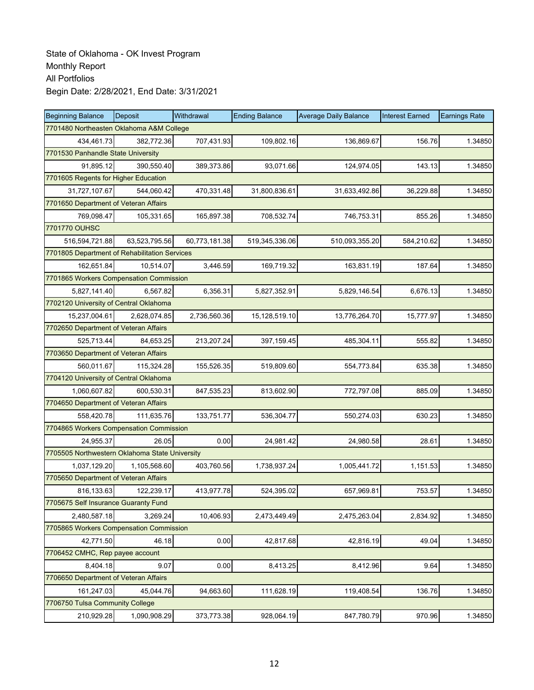| <b>Beginning Balance</b>                       | Deposit       | Withdrawal    | <b>Ending Balance</b> | <b>Average Daily Balance</b> | <b>Interest Earned</b> | <b>Earnings Rate</b> |
|------------------------------------------------|---------------|---------------|-----------------------|------------------------------|------------------------|----------------------|
| 7701480 Northeasten Oklahoma A&M College       |               |               |                       |                              |                        |                      |
| 434,461.73                                     | 382,772.36    | 707,431.93    | 109,802.16            | 136,869.67                   | 156.76                 | 1.34850              |
| 7701530 Panhandle State University             |               |               |                       |                              |                        |                      |
| 91,895.12                                      | 390,550.40    | 389,373.86    | 93,071.66             | 124,974.05                   | 143.13                 | 1.34850              |
| 7701605 Regents for Higher Education           |               |               |                       |                              |                        |                      |
| 31,727,107.67                                  | 544,060.42    | 470,331.48    | 31,800,836.61         | 31,633,492.86                | 36,229.88              | 1.34850              |
| 7701650 Department of Veteran Affairs          |               |               |                       |                              |                        |                      |
| 769,098.47                                     | 105,331.65    | 165,897.38    | 708,532.74            | 746,753.31                   | 855.26                 | 1.34850              |
| 7701770 OUHSC                                  |               |               |                       |                              |                        |                      |
| 516,594,721.88                                 | 63,523,795.56 | 60,773,181.38 | 519,345,336.06        | 510,093,355.20               | 584,210.62             | 1.34850              |
| 7701805 Department of Rehabilitation Services  |               |               |                       |                              |                        |                      |
| 162,651.84                                     | 10,514.07     | 3,446.59      | 169,719.32            | 163,831.19                   | 187.64                 | 1.34850              |
| 7701865 Workers Compensation Commission        |               |               |                       |                              |                        |                      |
| 5,827,141.40                                   | 6,567.82      | 6,356.31      | 5,827,352.91          | 5,829,146.54                 | 6,676.13               | 1.34850              |
| 7702120 University of Central Oklahoma         |               |               |                       |                              |                        |                      |
| 15,237,004.61                                  | 2,628,074.85  | 2,736,560.36  | 15,128,519.10         | 13,776,264.70                | 15,777.97              | 1.34850              |
| 7702650 Department of Veteran Affairs          |               |               |                       |                              |                        |                      |
| 525,713.44                                     | 84,653.25     | 213,207.24    | 397,159.45            | 485,304.11                   | 555.82                 | 1.34850              |
| 7703650 Department of Veteran Affairs          |               |               |                       |                              |                        |                      |
| 560,011.67                                     | 115,324.28    | 155,526.35    | 519,809.60            | 554,773.84                   | 635.38                 | 1.34850              |
| 7704120 University of Central Oklahoma         |               |               |                       |                              |                        |                      |
| 1,060,607.82                                   | 600,530.31    | 847,535.23    | 813,602.90            | 772,797.08                   | 885.09                 | 1.34850              |
| 7704650 Department of Veteran Affairs          |               |               |                       |                              |                        |                      |
| 558,420.78                                     | 111,635.76    | 133,751.77    | 536,304.77            | 550,274.03                   | 630.23                 | 1.34850              |
| 7704865 Workers Compensation Commission        |               |               |                       |                              |                        |                      |
| 24,955.37                                      | 26.05         | 0.00          | 24,981.42             | 24,980.58                    | 28.61                  | 1.34850              |
| 7705505 Northwestern Oklahoma State University |               |               |                       |                              |                        |                      |
| 1,037,129.20                                   | 1,105,568.60  | 403,760.56    | 1,738,937.24          | 1,005,441.72                 | 1,151.53               | 1.34850              |
| 7705650 Department of Veteran Affairs          |               |               |                       |                              |                        |                      |
| 816,133.63                                     | 122,239.17    | 413,977.78    | 524,395.02            | 657,969.81                   | 753.57                 | 1.34850              |
| 7705675 Self Insurance Guaranty Fund           |               |               |                       |                              |                        |                      |
| 2,480,587.18                                   | 3,269.24      | 10,406.93     | 2,473,449.49          | 2,475,263.04                 | 2,834.92               | 1.34850              |
| 7705865 Workers Compensation Commission        |               |               |                       |                              |                        |                      |
| 42,771.50                                      | 46.18         | 0.00          | 42,817.68             | 42,816.19                    | 49.04                  | 1.34850              |
| 7706452 CMHC, Rep payee account                |               |               |                       |                              |                        |                      |
| 8,404.18                                       | 9.07          | 0.00          | 8,413.25              | 8,412.96                     | 9.64                   | 1.34850              |
| 7706650 Department of Veteran Affairs          |               |               |                       |                              |                        |                      |
| 161,247.03                                     | 45,044.76     | 94,663.60     | 111,628.19            | 119,408.54                   | 136.76                 | 1.34850              |
| 7706750 Tulsa Community College                |               |               |                       |                              |                        |                      |
| 210,929.28                                     | 1,090,908.29  | 373,773.38    | 928,064.19            | 847,780.79                   | 970.96                 | 1.34850              |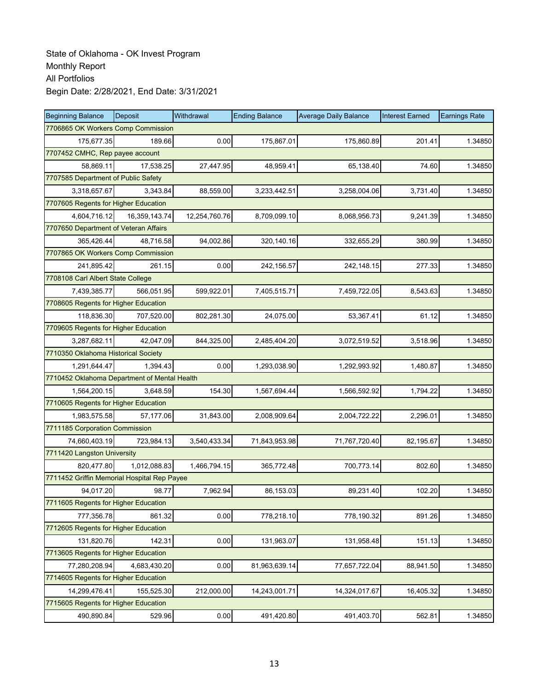| <b>Beginning Balance</b>                     | <b>Deposit</b> | Withdrawal    | <b>Ending Balance</b> | <b>Average Daily Balance</b> | <b>Interest Earned</b> | <b>Earnings Rate</b> |  |  |
|----------------------------------------------|----------------|---------------|-----------------------|------------------------------|------------------------|----------------------|--|--|
| 7706865 OK Workers Comp Commission           |                |               |                       |                              |                        |                      |  |  |
| 175,677.35                                   | 189.66         | 0.00          | 175,867.01            | 175,860.89                   | 201.41                 | 1.34850              |  |  |
| 7707452 CMHC, Rep payee account              |                |               |                       |                              |                        |                      |  |  |
| 58,869.11                                    | 17,538.25      | 27,447.95     | 48,959.41             | 65,138.40                    | 74.60                  | 1.34850              |  |  |
| 7707585 Department of Public Safety          |                |               |                       |                              |                        |                      |  |  |
| 3,318,657.67                                 | 3,343.84       | 88,559.00     | 3,233,442.51          | 3,258,004.06                 | 3,731.40               | 1.34850              |  |  |
| 7707605 Regents for Higher Education         |                |               |                       |                              |                        |                      |  |  |
| 4,604,716.12                                 | 16,359,143.74  | 12,254,760.76 | 8,709,099.10          | 8,068,956.73                 | 9,241.39               | 1.34850              |  |  |
| 7707650 Department of Veteran Affairs        |                |               |                       |                              |                        |                      |  |  |
| 365,426.44                                   | 48,716.58      | 94,002.86     | 320,140.16            | 332,655.29                   | 380.99                 | 1.34850              |  |  |
| 7707865 OK Workers Comp Commission           |                |               |                       |                              |                        |                      |  |  |
| 241,895.42                                   | 261.15         | 0.00          | 242,156.57            | 242,148.15                   | 277.33                 | 1.34850              |  |  |
| 7708108 Carl Albert State College            |                |               |                       |                              |                        |                      |  |  |
| 7,439,385.77                                 | 566,051.95     | 599,922.01    | 7,405,515.71          | 7,459,722.05                 | 8,543.63               | 1.34850              |  |  |
| 7708605 Regents for Higher Education         |                |               |                       |                              |                        |                      |  |  |
| 118,836.30                                   | 707,520.00     | 802,281.30    | 24,075.00             | 53,367.41                    | 61.12                  | 1.34850              |  |  |
| 7709605 Regents for Higher Education         |                |               |                       |                              |                        |                      |  |  |
| 3,287,682.11                                 | 42,047.09      | 844,325.00    | 2,485,404.20          | 3,072,519.52                 | 3,518.96               | 1.34850              |  |  |
| 7710350 Oklahoma Historical Society          |                |               |                       |                              |                        |                      |  |  |
| 1,291,644.47                                 | 1,394.43       | 0.00          | 1,293,038.90          | 1,292,993.92                 | 1,480.87               | 1.34850              |  |  |
| 7710452 Oklahoma Department of Mental Health |                |               |                       |                              |                        |                      |  |  |
| 1,564,200.15                                 | 3,648.59       | 154.30        | 1,567,694.44          | 1,566,592.92                 | 1,794.22               | 1.34850              |  |  |
| 7710605 Regents for Higher Education         |                |               |                       |                              |                        |                      |  |  |
| 1,983,575.58                                 | 57,177.06      | 31,843.00     | 2,008,909.64          | 2,004,722.22                 | 2,296.01               | 1.34850              |  |  |
| 7711185 Corporation Commission               |                |               |                       |                              |                        |                      |  |  |
| 74,660,403.19                                | 723,984.13     | 3,540,433.34  | 71,843,953.98         | 71,767,720.40                | 82,195.67              | 1.34850              |  |  |
| 7711420 Langston University                  |                |               |                       |                              |                        |                      |  |  |
| 820,477.80                                   | 1,012,088.83   | 1,466,794.15  | 365,772.48            | 700,773.14                   | 802.60                 | 1.34850              |  |  |
| 7711452 Griffin Memorial Hospital Rep Payee  |                |               |                       |                              |                        |                      |  |  |
| 94,017.20                                    | 98.77          | 7,962.94      | 86,153.03             | 89,231.40                    | 102.20                 | 1.34850              |  |  |
| 7711605 Regents for Higher Education         |                |               |                       |                              |                        |                      |  |  |
| 777,356.78                                   | 861.32         | 0.00          | 778,218.10            | 778,190.32                   | 891.26                 | 1.34850              |  |  |
| 7712605 Regents for Higher Education         |                |               |                       |                              |                        |                      |  |  |
| 131,820.76                                   | 142.31         | 0.00          | 131,963.07            | 131,958.48                   | 151.13                 | 1.34850              |  |  |
| 7713605 Regents for Higher Education         |                |               |                       |                              |                        |                      |  |  |
| 77,280,208.94                                | 4,683,430.20   | 0.00          | 81,963,639.14         | 77,657,722.04                | 88,941.50              | 1.34850              |  |  |
| 7714605 Regents for Higher Education         |                |               |                       |                              |                        |                      |  |  |
| 14,299,476.41                                | 155,525.30     | 212,000.00    | 14,243,001.71         | 14,324,017.67                | 16,405.32              | 1.34850              |  |  |
| 7715605 Regents for Higher Education         |                |               |                       |                              |                        |                      |  |  |
| 490,890.84                                   | 529.96         | 0.00          | 491,420.80            | 491,403.70                   | 562.81                 | 1.34850              |  |  |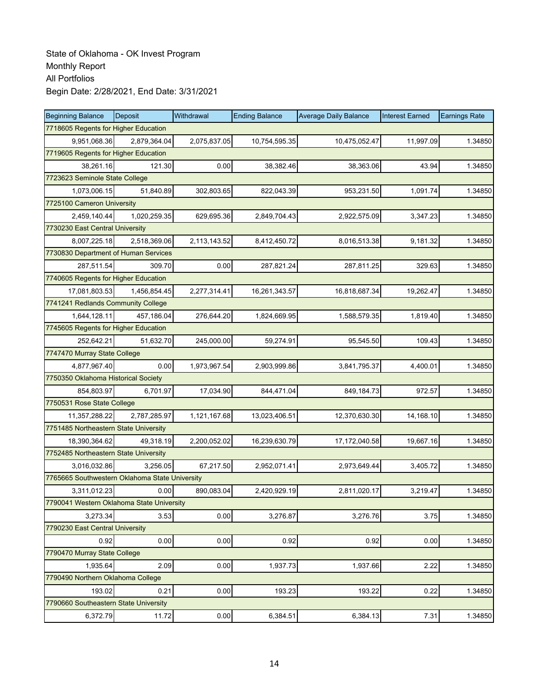| <b>Beginning Balance</b>                       | Deposit      | Withdrawal   | <b>Ending Balance</b> | <b>Average Daily Balance</b> | <b>Interest Earned</b> | <b>Earnings Rate</b> |  |  |
|------------------------------------------------|--------------|--------------|-----------------------|------------------------------|------------------------|----------------------|--|--|
| 7718605 Regents for Higher Education           |              |              |                       |                              |                        |                      |  |  |
| 9,951,068.36                                   | 2,879,364.04 | 2,075,837.05 | 10,754,595.35         | 10,475,052.47                | 11,997.09              | 1.34850              |  |  |
| 7719605 Regents for Higher Education           |              |              |                       |                              |                        |                      |  |  |
| 38,261.16                                      | 121.30       | 0.00         | 38,382.46             | 38,363.06                    | 43.94                  | 1.34850              |  |  |
| 7723623 Seminole State College                 |              |              |                       |                              |                        |                      |  |  |
| 1,073,006.15                                   | 51,840.89    | 302,803.65   | 822,043.39            | 953,231.50                   | 1,091.74               | 1.34850              |  |  |
| 7725100 Cameron University                     |              |              |                       |                              |                        |                      |  |  |
| 2,459,140.44                                   | 1,020,259.35 | 629,695.36   | 2,849,704.43          | 2,922,575.09                 | 3,347.23               | 1.34850              |  |  |
| 7730230 East Central University                |              |              |                       |                              |                        |                      |  |  |
| 8,007,225.18                                   | 2,518,369.06 | 2,113,143.52 | 8,412,450.72          | 8,016,513.38                 | 9,181.32               | 1.34850              |  |  |
| 7730830 Department of Human Services           |              |              |                       |                              |                        |                      |  |  |
| 287,511.54                                     | 309.70       | 0.00         | 287,821.24            | 287,811.25                   | 329.63                 | 1.34850              |  |  |
| 7740605 Regents for Higher Education           |              |              |                       |                              |                        |                      |  |  |
| 17,081,803.53                                  | 1,456,854.45 | 2,277,314.41 | 16,261,343.57         | 16,818,687.34                | 19,262.47              | 1.34850              |  |  |
| 7741241 Redlands Community College             |              |              |                       |                              |                        |                      |  |  |
| 1,644,128.11                                   | 457,186.04   | 276,644.20   | 1,824,669.95          | 1,588,579.35                 | 1,819.40               | 1.34850              |  |  |
| 7745605 Regents for Higher Education           |              |              |                       |                              |                        |                      |  |  |
| 252,642.21                                     | 51,632.70    | 245,000.00   | 59,274.91             | 95,545.50                    | 109.43                 | 1.34850              |  |  |
| 7747470 Murray State College                   |              |              |                       |                              |                        |                      |  |  |
| 4,877,967.40                                   | 0.00         | 1,973,967.54 | 2,903,999.86          | 3,841,795.37                 | 4,400.01               | 1.34850              |  |  |
| 7750350 Oklahoma Historical Society            |              |              |                       |                              |                        |                      |  |  |
| 854,803.97                                     | 6,701.97     | 17,034.90    | 844,471.04            | 849,184.73                   | 972.57                 | 1.34850              |  |  |
| 7750531 Rose State College                     |              |              |                       |                              |                        |                      |  |  |
| 11,357,288.22                                  | 2,787,285.97 | 1,121,167.68 | 13,023,406.51         | 12,370,630.30                | 14,168.10              | 1.34850              |  |  |
| 7751485 Northeastern State University          |              |              |                       |                              |                        |                      |  |  |
| 18,390,364.62                                  | 49,318.19    | 2,200,052.02 | 16,239,630.79         | 17,172,040.58                | 19,667.16              | 1.34850              |  |  |
| 7752485 Northeastern State University          |              |              |                       |                              |                        |                      |  |  |
| 3,016,032.86                                   | 3,256.05     | 67,217.50    | 2,952,071.41          | 2,973,649.44                 | 3,405.72               | 1.34850              |  |  |
| 7765665 Southwestern Oklahoma State University |              |              |                       |                              |                        |                      |  |  |
| 3,311,012.23                                   | 0.00         | 890,083.04   | 2,420,929.19          | 2,811,020.17                 | 3,219.47               | 1.34850              |  |  |
| 7790041 Western Oklahoma State University      |              |              |                       |                              |                        |                      |  |  |
| 3,273.34                                       | 3.53         | 0.00         | 3,276.87              | 3,276.76                     | 3.75                   | 1.34850              |  |  |
| 7790230 East Central University                |              |              |                       |                              |                        |                      |  |  |
| 0.92                                           | 0.00         | 0.00         | 0.92                  | 0.92                         | 0.00                   | 1.34850              |  |  |
| 7790470 Murray State College                   |              |              |                       |                              |                        |                      |  |  |
| 1,935.64                                       | 2.09         | 0.00         | 1,937.73              | 1,937.66                     | 2.22                   | 1.34850              |  |  |
| 7790490 Northern Oklahoma College              |              |              |                       |                              |                        |                      |  |  |
| 193.02                                         | 0.21         | 0.00         | 193.23                | 193.22                       | 0.22                   | 1.34850              |  |  |
| 7790660 Southeastern State University          |              |              |                       |                              |                        |                      |  |  |
| 6,372.79                                       | 11.72        | 0.00         | 6,384.51              | 6,384.13                     | 7.31                   | 1.34850              |  |  |